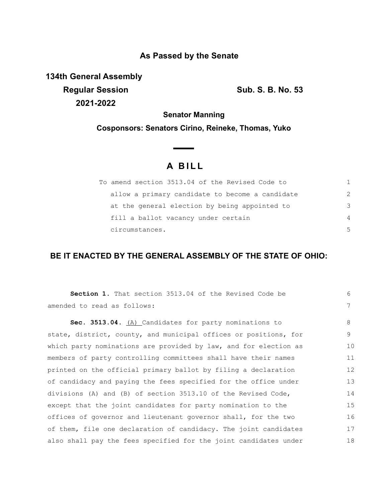## **As Passed by the Senate**

**134th General Assembly Regular Session Sub. S. B. No. 53 2021-2022**

**Senator Manning**

**Cosponsors: Senators Cirino, Reineke, Thomas, Yuko**

 $\overline{\phantom{0}}$ 

## **A B I L L**

| To amend section 3513.04 of the Revised Code to |                |
|-------------------------------------------------|----------------|
| allow a primary candidate to become a candidate | $\mathcal{L}$  |
| at the general election by being appointed to   | 3              |
| fill a ballot vacancy under certain             | $\overline{4}$ |
| circumstances.                                  | .5             |

## **BE IT ENACTED BY THE GENERAL ASSEMBLY OF THE STATE OF OHIO:**

| <b>Section 1.</b> That section 3513.04 of the Revised Code be    | 6  |
|------------------------------------------------------------------|----|
| amended to read as follows:                                      | 7  |
| Sec. 3513.04. (A) Candidates for party nominations to            | 8  |
| state, district, county, and municipal offices or positions, for | 9  |
| which party nominations are provided by law, and for election as | 10 |
| members of party controlling committees shall have their names   | 11 |
| printed on the official primary ballot by filing a declaration   | 12 |
| of candidacy and paying the fees specified for the office under  | 13 |
| divisions (A) and (B) of section 3513.10 of the Revised Code,    | 14 |
| except that the joint candidates for party nomination to the     | 15 |
| offices of governor and lieutenant governor shall, for the two   | 16 |
| of them, file one declaration of candidacy. The joint candidates | 17 |
| also shall pay the fees specified for the joint candidates under | 18 |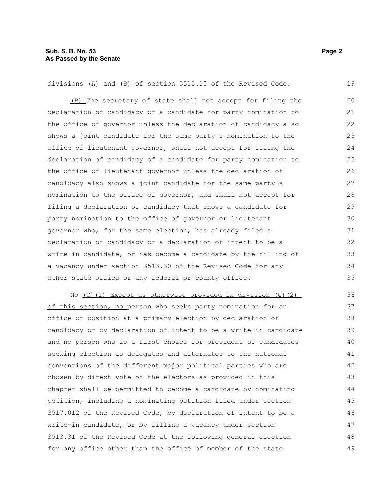divisions (A) and (B) of section 3513.10 of the Revised Code.

(B) The secretary of state shall not accept for filing the declaration of candidacy of a candidate for party nomination to the office of governor unless the declaration of candidacy also shows a joint candidate for the same party's nomination to the office of lieutenant governor, shall not accept for filing the declaration of candidacy of a candidate for party nomination to the office of lieutenant governor unless the declaration of candidacy also shows a joint candidate for the same party's nomination to the office of governor, and shall not accept for filing a declaration of candidacy that shows a candidate for party nomination to the office of governor or lieutenant governor who, for the same election, has already filed a declaration of candidacy or a declaration of intent to be a write-in candidate, or has become a candidate by the filling of a vacancy under section 3513.30 of the Revised Code for any other state office or any federal or county office. 20 21 22 23 24 25 26 27 28 29 30 31 32 33 34 35

 $N\rightarrow$  (C)(1) Except as otherwise provided in division (C)(2) of this section, no person who seeks party nomination for an office or position at a primary election by declaration of candidacy or by declaration of intent to be a write-in candidate and no person who is a first choice for president of candidates seeking election as delegates and alternates to the national conventions of the different major political parties who are chosen by direct vote of the electors as provided in this chapter shall be permitted to become a candidate by nominating petition, including a nominating petition filed under section 3517.012 of the Revised Code, by declaration of intent to be a write-in candidate, or by filling a vacancy under section 3513.31 of the Revised Code at the following general election for any office other than the office of member of the state 36 37 38 39 40 41 42 43 44 45 46 47 48 49

19